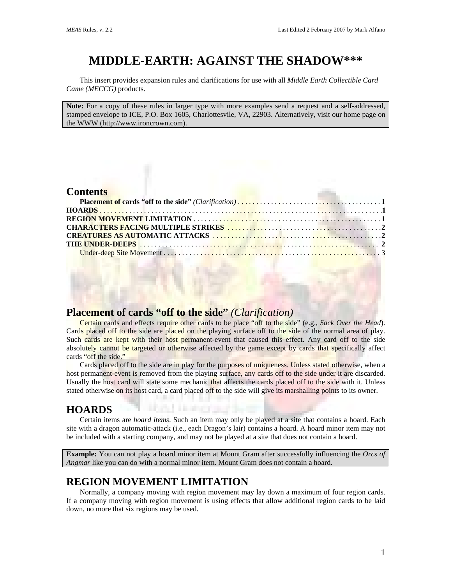# **MIDDLE-EARTH: AGAINST THE SHADOW\*\*\***

This insert provides expansion rules and clarifications for use with all *Middle Earth Collectible Card Came (MECCG)* products.

**Note:** For a copy of these rules in larger type with more examples send a request and a self-addressed, stamped envelope to ICE, P.O. Box 1605, Charlottesvile, VA, 22903. Alternatively, visit our home page on the WWW (http://www.ironcrown.com).

#### **Contents**

| <b>CONTRACTOR AND INCOME.</b> |
|-------------------------------|
|                               |

### **Placement of cards "off to the side"** *(Clarification)*

Certain cards and effects require other cards to be place "off to the side" (e.g., *Sack Over the Head*). Cards placed off to the side are placed on the playing surface off to the side of the normal area of play. Such cards are kept with their host permanent-event that caused this effect. Any card off to the side absolutely cannot be targeted or otherwise affected by the game except by cards that specifically affect cards "off the side."

Cards placed off to the side are in play for the purposes of uniqueness. Unless stated otherwise, when a host permanent-event is removed from the playing surface, any cards off to the side under it are discarded. Usually the host card will state some mechanic that affects the cards placed off to the side with it. Unless stated otherwise on its host card, a card placed off to the side will give its marshalling points to its owner.

### **HOARDS**

Certain items are *hoard items*. Such an item may only be played at a site that contains a hoard. Each site with a dragon automatic-attack (i.e., each Dragon's lair) contains a hoard. A hoard minor item may not be included with a starting company, and may not be played at a site that does not contain a hoard.

**Example:** You can not play a hoard minor item at Mount Gram after successfully influencing the *Orcs of Angmar* like you can do with a normal minor item. Mount Gram does not contain a hoard.

### **REGION MOVEMENT LIMITATION**

Normally, a company moving with region movement may lay down a maximum of four region cards. If a company moving with region movement is using effects that allow additional region cards to be laid down, no more that six regions may be used.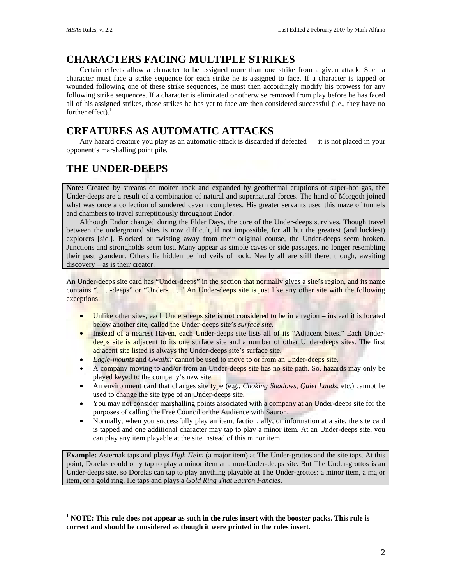$\overline{a}$ 

# **CHARACTERS FACING MULTIPLE STRIKES**

Certain effects allow a character to be assigned more than one strike from a given attack. Such a character must face a strike sequence for each strike he is assigned to face. If a character is tapped or wounded following one of these strike sequences, he must then accordingly modify his prowess for any following strike sequences. If a character is eliminated or otherwise removed from play before he has faced all of his assigned strikes, those strikes he has yet to face are then considered successful (i.e., they have no further effect). $1$ 

# **CREATURES AS AUTOMATIC ATTACKS**

Any hazard creature you play as an automatic-attack is discarded if defeated — it is not placed in your opponent's marshalling point pile.

# **THE UNDER-DEEPS**

**Note:** Created by streams of molten rock and expanded by geothermal eruptions of super-hot gas, the Under-deeps are a result of a combination of natural and supernatural forces. The hand of Morgoth joined what was once a collection of sundered cavern complexes. His greater servants used this maze of tunnels and chambers to travel surreptitiously throughout Endor.

Although Endor changed during the Elder Days, the core of the Under-deeps survives. Though travel between the underground sites is now difficult, if not impossible, for all but the greatest (and luckiest) explorers [sic.]. Blocked or twisting away from their original course, the Under-deeps seem broken. Junctions and strongholds seem lost. Many appear as simple caves or side passages, no longer resembling their past grandeur. Others lie hidden behind veils of rock. Nearly all are still there, though, awaiting discovery – as is their creator.

An Under-deeps site card has "Under-deeps" in the section that normally gives a site's region, and its name contains ". . . -deeps" or "Under-. . . " An Under-deeps site is just like any other site with the following exceptions:

- Unlike other sites, each Under-deeps site is **not** considered to be in a region instead it is located below another site, called the Under-deeps site's *surface site*.
- Instead of a nearest Haven, each Under-deeps site lists all of its "Adjacent Sites." Each Underdeeps site is adjacent to its one surface site and a number of other Under-deeps sites. The first adjacent site listed is always the Under-deeps site's surface site.
- *Eagle-mounts* and *Gwaihir* cannot be used to move to or from an Under-deeps site.
- A company moving to and/or from an Under-deeps site has no site path. So, hazards may only be played keyed to the company's new site.
- An environment card that changes site type (e.g., *Choking Shadows*, *Quiet Lands*, etc.) cannot be used to change the site type of an Under-deeps site.
- You may not consider marshalling points associated with a company at an Under-deeps site for the purposes of calling the Free Council or the Audience with Sauron.
- Normally, when you successfully play an item, faction, ally, or information at a site, the site card is tapped and one additional character may tap to play a minor item. At an Under-deeps site, you can play any item playable at the site instead of this minor item.

**Example:** Asternak taps and plays *High Helm* (a major item) at The Under-grottos and the site taps. At this point, Dorelas could only tap to play a minor item at a non-Under-deeps site. But The Under-grottos is an Under-deeps site, so Dorelas can tap to play anything playable at The Under-grottos: a minor item, a major item, or a gold ring. He taps and plays a *Gold Ring That Sauron Fancies*.

<span id="page-1-0"></span><sup>1</sup> **NOTE: This rule does not appear as such in the rules insert with the booster packs. This rule is correct and should be considered as though it were printed in the rules insert.**